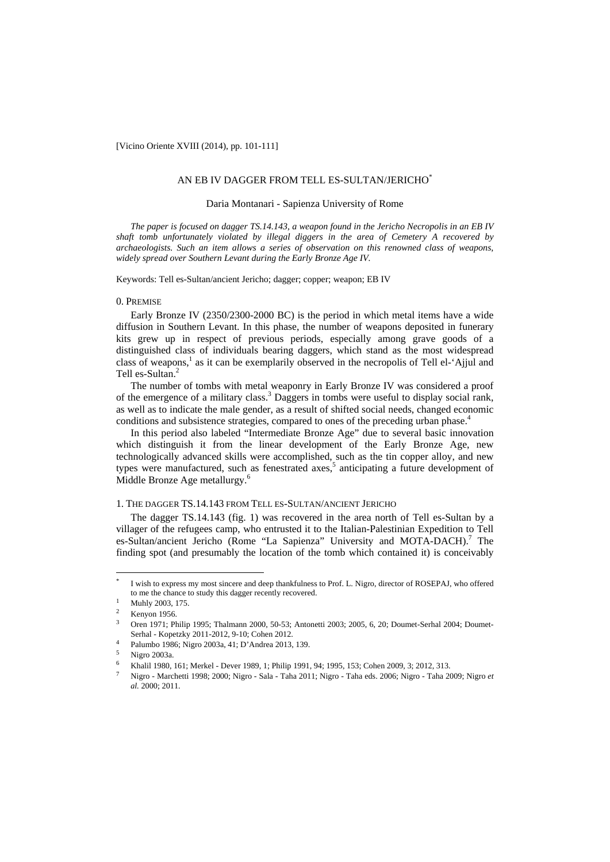[Vicino Oriente XVIII (2014), pp. 101-111]

## AN EB IV DAGGER FROM TELL ES-SULTAN/JERICHO\*

## Daria Montanari - Sapienza University of Rome

*The paper is focused on dagger TS.14.143, a weapon found in the Jericho Necropolis in an EB IV shaft tomb unfortunately violated by illegal diggers in the area of Cemetery A recovered by archaeologists. Such an item allows a series of observation on this renowned class of weapons, widely spread over Southern Levant during the Early Bronze Age IV.* 

Keywords: Tell es-Sultan/ancient Jericho; dagger; copper; weapon; EB IV

## 0. PREMISE

Early Bronze IV (2350/2300-2000 BC) is the period in which metal items have a wide diffusion in Southern Levant. In this phase, the number of weapons deposited in funerary kits grew up in respect of previous periods, especially among grave goods of a distinguished class of individuals bearing daggers, which stand as the most widespread class of weapons,<sup>1</sup> as it can be exemplarily observed in the necropolis of Tell el-'Ajjul and Tell es-Sultan.<sup>2</sup>

The number of tombs with metal weaponry in Early Bronze IV was considered a proof of the emergence of a military class.<sup>3</sup> Daggers in tombs were useful to display social rank, as well as to indicate the male gender, as a result of shifted social needs, changed economic conditions and subsistence strategies, compared to ones of the preceding urban phase.<sup>4</sup>

In this period also labeled "Intermediate Bronze Age" due to several basic innovation which distinguish it from the linear development of the Early Bronze Age, new technologically advanced skills were accomplished, such as the tin copper alloy, and new types were manufactured, such as fenestrated axes,<sup>5</sup> anticipating a future development of Middle Bronze Age metallurgy.<sup>6</sup>

# 1. THE DAGGER TS.14.143 FROM TELL ES-SULTAN/ANCIENT JERICHO

The dagger TS.14.143 (fig. 1) was recovered in the area north of Tell es-Sultan by a villager of the refugees camp, who entrusted it to the Italian-Palestinian Expedition to Tell es-Sultan/ancient Jericho (Rome "La Sapienza" University and MOTA-DACH).<sup>7</sup> The finding spot (and presumably the location of the tomb which contained it) is conceivably

 $\overline{\phantom{a}}$ 

I wish to express my most sincere and deep thankfulness to Prof. L. Nigro, director of ROSEPAJ, who offered to me the chance to study this dagger recently recovered.<br>Muhly 2003, 175.

<sup>&</sup>lt;sup>2</sup> Kenyon 1956.<br><sup>3</sup> Oren 1971: Philip 1995: Thalmann 2000, 50-53; Antonetti 2003; 2005, 6, 20: Doumet-Serhal 2004: Doumet-Serhal - Kopetzky 2011-2012, 9-10; Cohen 2012. 4 Palumbo 1986; Nigro 2003a, 41; D'Andrea 2013, 139.

<sup>5</sup> Nigro 2003a.

<sup>6</sup> Khalil 1980, 161; Merkel - Dever 1989, 1; Philip 1991, 94; 1995, 153; Cohen 2009, 3; 2012, 313.

<sup>7</sup> Nigro - Marchetti 1998; 2000; Nigro - Sala - Taha 2011; Nigro - Taha eds. 2006; Nigro - Taha 2009; Nigro *et al.* 2000; 2011.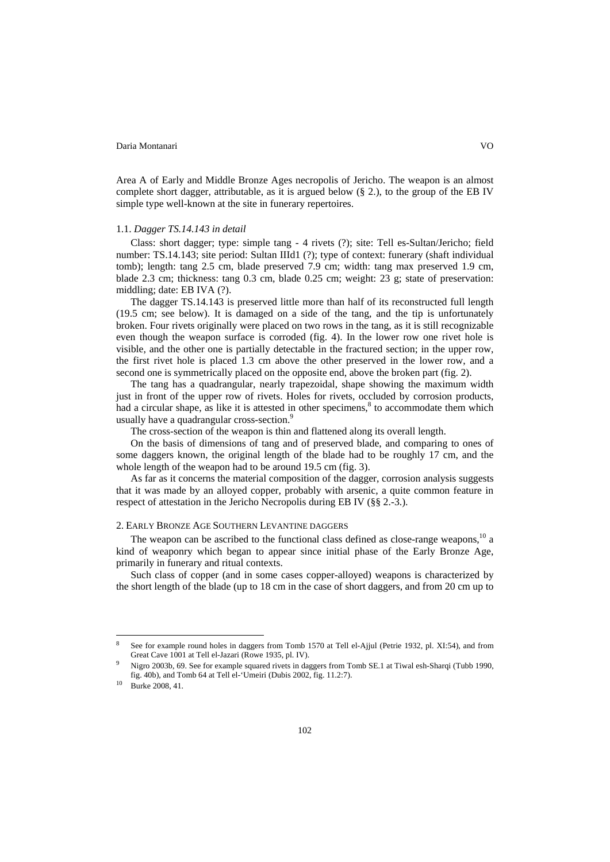Area A of Early and Middle Bronze Ages necropolis of Jericho. The weapon is an almost complete short dagger, attributable, as it is argued below  $(\S 2)$ , to the group of the EB IV simple type well-known at the site in funerary repertoires.

# 1.1. *Dagger TS.14.143 in detail*

Class: short dagger; type: simple tang - 4 rivets (?); site: Tell es-Sultan/Jericho; field number: TS.14.143; site period: Sultan IIId1 (?); type of context: funerary (shaft individual tomb); length: tang 2.5 cm, blade preserved 7.9 cm; width: tang max preserved 1.9 cm, blade 2.3 cm; thickness: tang 0.3 cm, blade 0.25 cm; weight: 23 g; state of preservation: middling; date: EB IVA (?).

The dagger TS.14.143 is preserved little more than half of its reconstructed full length (19.5 cm; see below). It is damaged on a side of the tang, and the tip is unfortunately broken. Four rivets originally were placed on two rows in the tang, as it is still recognizable even though the weapon surface is corroded (fig. 4). In the lower row one rivet hole is visible, and the other one is partially detectable in the fractured section; in the upper row, the first rivet hole is placed 1.3 cm above the other preserved in the lower row, and a second one is symmetrically placed on the opposite end, above the broken part (fig. 2).

The tang has a quadrangular, nearly trapezoidal, shape showing the maximum width just in front of the upper row of rivets. Holes for rivets, occluded by corrosion products, had a circular shape, as like it is attested in other specimens, $\delta$  to accommodate them which usually have a quadrangular cross-section.<sup>9</sup>

The cross-section of the weapon is thin and flattened along its overall length.

On the basis of dimensions of tang and of preserved blade, and comparing to ones of some daggers known, the original length of the blade had to be roughly 17 cm, and the whole length of the weapon had to be around 19.5 cm (fig. 3).

As far as it concerns the material composition of the dagger, corrosion analysis suggests that it was made by an alloyed copper, probably with arsenic, a quite common feature in respect of attestation in the Jericho Necropolis during EB IV (§§ 2.-3.).

# 2. EARLY BRONZE AGE SOUTHERN LEVANTINE DAGGERS

The weapon can be ascribed to the functional class defined as close-range weapons,<sup>10</sup> a kind of weaponry which began to appear since initial phase of the Early Bronze Age, primarily in funerary and ritual contexts.

Such class of copper (and in some cases copper-alloyed) weapons is characterized by the short length of the blade (up to 18 cm in the case of short daggers, and from 20 cm up to

 $\overline{\phantom{a}}$ 

<sup>8</sup> See for example round holes in daggers from Tomb 1570 at Tell el-Ajjul (Petrie 1932, pl. XI:54), and from Great Cave 1001 at Tell el-Jazari (Rowe 1935, pl. IV).<br>Nigro 2003b, 69. See for example squared rivets in daggers from Tomb SE.1 at Tiwal esh-Sharqi (Tubb 1990,

fig. 40b), and Tomb 64 at Tell el-'Umeiri (Dubis 2002, fig. 11.2:7). 10 Burke 2008, 41.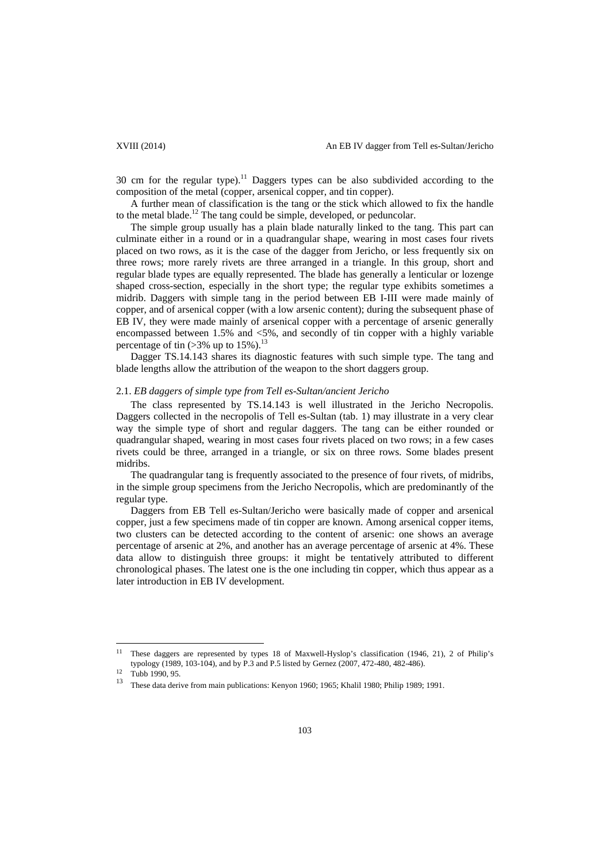30 cm for the regular type).<sup>11</sup> Daggers types can be also subdivided according to the composition of the metal (copper, arsenical copper, and tin copper).

A further mean of classification is the tang or the stick which allowed to fix the handle to the metal blade.<sup>12</sup> The tang could be simple, developed, or peduncolar.

The simple group usually has a plain blade naturally linked to the tang. This part can culminate either in a round or in a quadrangular shape, wearing in most cases four rivets placed on two rows, as it is the case of the dagger from Jericho, or less frequently six on three rows; more rarely rivets are three arranged in a triangle. In this group, short and regular blade types are equally represented. The blade has generally a lenticular or lozenge shaped cross-section, especially in the short type; the regular type exhibits sometimes a midrib. Daggers with simple tang in the period between EB I-III were made mainly of copper, and of arsenical copper (with a low arsenic content); during the subsequent phase of EB IV, they were made mainly of arsenical copper with a percentage of arsenic generally encompassed between 1.5% and <5%, and secondly of tin copper with a highly variable percentage of tin  $(>3\%$  up to  $15\%)$ <sup>13</sup>

Dagger TS.14.143 shares its diagnostic features with such simple type. The tang and blade lengths allow the attribution of the weapon to the short daggers group.

# 2.1. *EB daggers of simple type from Tell es-Sultan/ancient Jericho*

The class represented by TS.14.143 is well illustrated in the Jericho Necropolis. Daggers collected in the necropolis of Tell es-Sultan (tab. 1) may illustrate in a very clear way the simple type of short and regular daggers. The tang can be either rounded or quadrangular shaped, wearing in most cases four rivets placed on two rows; in a few cases rivets could be three, arranged in a triangle, or six on three rows. Some blades present midribs.

The quadrangular tang is frequently associated to the presence of four rivets, of midribs, in the simple group specimens from the Jericho Necropolis, which are predominantly of the regular type.

Daggers from EB Tell es-Sultan/Jericho were basically made of copper and arsenical copper, just a few specimens made of tin copper are known. Among arsenical copper items, two clusters can be detected according to the content of arsenic: one shows an average percentage of arsenic at 2%, and another has an average percentage of arsenic at 4%. These data allow to distinguish three groups: it might be tentatively attributed to different chronological phases. The latest one is the one including tin copper, which thus appear as a later introduction in EB IV development.

 $\overline{a}$ 

<sup>11</sup> These daggers are represented by types 18 of Maxwell-Hyslop's classification (1946, 21), 2 of Philip's typology (1989, 103-104), and by P.3 and P.5 listed by Gernez (2007, 472-480, 482-486).<br><sup>12</sup> Tubb 1990, 95.

<sup>13</sup> These data derive from main publications: Kenyon 1960; 1965; Khalil 1980; Philip 1989; 1991.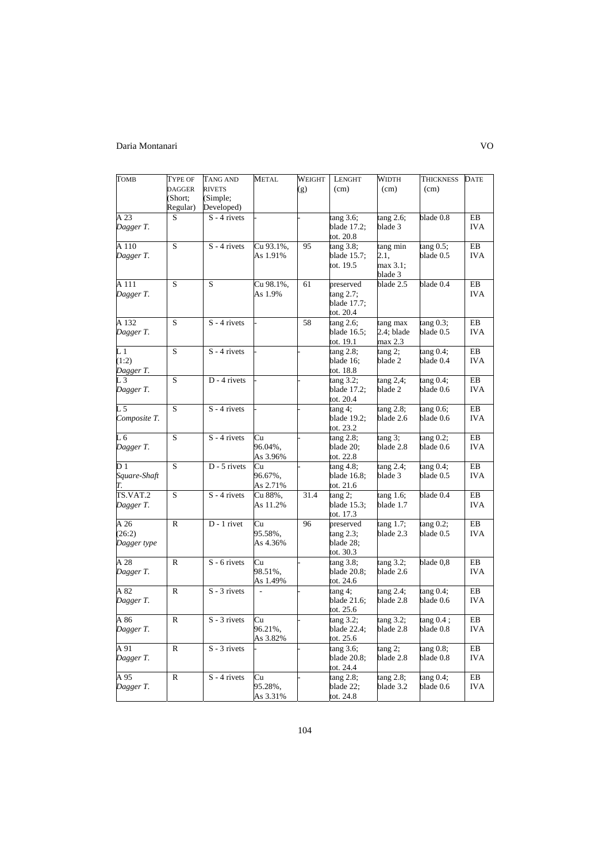| <b>TOMB</b>     | <b>TYPE OF</b> | TANG AND       | <b>METAL</b>   | WEIGHT | <b>LENGHT</b>            | <b>WIDTH</b>           | <b>THICKNESS</b>       | <b>DATE</b>      |
|-----------------|----------------|----------------|----------------|--------|--------------------------|------------------------|------------------------|------------------|
|                 | <b>DAGGER</b>  | <b>RIVETS</b>  |                | (g)    | (cm)                     | (cm)                   | (cm)                   |                  |
|                 | (Short:        | (Simple;       |                |        |                          |                        |                        |                  |
|                 | Regular)       | Developed)     |                |        |                          |                        |                        |                  |
| A 23            | S              | $S - 4$ rivets |                |        | tang 3.6;                | tang 2.6;              | blade 0.8              | EB               |
| Dagger T.       |                |                |                |        | blade 17.2;              | blade 3                |                        | <b>IVA</b>       |
|                 |                |                |                |        | tot. 20.8                |                        |                        |                  |
| A 110           | S              | $S - 4$ rivets | Cu 93.1%,      | 95     | $tan g$ 3.8;             | tang min               | $tan g 0.5$ ;          | EB               |
| Dagger T.       |                |                | As 1.91%       |        | blade 15.7;              | 2.1,                   | blade 0.5              | <b>IVA</b>       |
|                 |                |                |                |        | tot. 19.5                | max 3.1;               |                        |                  |
|                 |                |                |                |        |                          | blade 3                |                        |                  |
| A 111           | S              | S              | Cu 98.1%,      | 61     | preserved                | blade 2.5              | blade 0.4              | EB               |
| Dagger T.       |                |                | As 1.9%        |        | $tan g$ 2.7;             |                        |                        | <b>IVA</b>       |
|                 |                |                |                |        | blade 17.7;              |                        |                        |                  |
| A 132           | S              | $S - 4$ rivets |                | 58     | tot. 20.4<br>tang 2.6;   | tang max               | $tan g$ 0.3;           | EB               |
| Dagger T.       |                |                |                |        | blade 16.5;              | 2.4; blade             | blade 0.5              | <b>IVA</b>       |
|                 |                |                |                |        | tot. 19.1                | max 2.3                |                        |                  |
| $L_1$           | S              | $S - 4$ rivets |                |        | tang 2.8;                | $tan g$ 2;             | tang 0.4;              | EB               |
| (1:2)           |                |                |                |        | blade 16;                | blade 2                | blade 0.4              | <b>IVA</b>       |
| Dagger T.       |                |                |                |        | tot. 18.8                |                        |                        |                  |
| $L_3$           | $\overline{S}$ | $D - 4$ rivets |                |        | tang 3.2;                | $tan g$ 2,4;           | $tan g 0.4$ ;          | EB               |
| Dagger T.       |                |                |                |        | blade 17.2;              | blade 2                | blade 0.6              | <b>IVA</b>       |
|                 |                |                |                |        | tot. 20.4                |                        |                        |                  |
| $L_{2}$ 5       | S              | $S - 4$ rivets |                |        | tang 4;                  | tang 2.8;              | $tan g 0.6$ ;          | EB               |
| Composite T.    |                |                |                |        | blade 19.2;              | blade 2.6              | blade 0.6              | <b>IVA</b>       |
|                 |                |                |                |        | tot. 23.2                |                        |                        |                  |
| L 6             | S              | $S - 4$ rivets | Cu             |        | tang 2.8;                | $tan g$ 3;             | tang 0.2;              | EB               |
| Dagger T.       |                |                | 96.04%.        |        | blade 20;                | blade 2.8              | blade 0.6              | <b>IVA</b>       |
| $\overline{D1}$ | S              | $D - 5$ rivets | As 3.96%<br>Cu |        | tot. 22.8                |                        |                        | EB               |
| Square-Shaft    |                |                | 96.67%.        |        | tang 4.8;<br>blade 16.8; | tang 2.4;<br>blade 3   | tang 0.4;<br>blade 0.5 | <b>IVA</b>       |
|                 |                |                | As 2.71%       |        | tot. 21.6                |                        |                        |                  |
| TS.VAT.2        | S              | $S - 4$ rivets | Cu 88%,        | 31.4   | $tan g$ 2;               | tang 1.6;              | blade 0.4              | EB               |
| Dagger T.       |                |                | As 11.2%       |        | blade 15.3;              | blade 1.7              |                        | <b>IVA</b>       |
|                 |                |                |                |        | tot. 17.3                |                        |                        |                  |
| A 26            | R              | $D - 1$ rivet  | Cu             | 96     | preserved                | tang 1.7;              | $tan g$ 0.2;           | EB               |
| (26:2)          |                |                | 95.58%,        |        | tang 2.3;                | blade 2.3              | blade 0.5              | <b>IVA</b>       |
| Dagger type     |                |                | As 4.36%       |        | blade 28:                |                        |                        |                  |
|                 |                |                |                |        | tot. 30.3                |                        |                        |                  |
| A 28            | $\mathbb{R}$   | $S - 6$ rivets | Cu             |        | tang 3.8;                | tang 3.2;              | blade 0,8              | ${\rm EB}$       |
| Dagger T.       |                |                | 98.51%,        |        | blade 20.8;              | blade 2.6              |                        | <b>IVA</b>       |
|                 |                |                | As 1.49%       |        | tot. 24.6                |                        |                        |                  |
| A 82            | $\mathbb{R}$   | $S - 3$ rivets | $\overline{a}$ |        | tang 4;<br>blade 21.6;   | tang 2.4;<br>blade 2.8 | tang 0.4;<br>blade 0.6 | EB<br><b>IVA</b> |
| Dagger T.       |                |                |                |        | tot. 25.6                |                        |                        |                  |
| A 86            | R              | $S - 3$ rivets | Cu             |        | tang 3.2;                | tang 3.2;              | tang 0.4;              | EB               |
| Dagger T.       |                |                | 96.21%.        |        | blade 22.4;              | blade 2.8              | blade 0.8              | <b>IVA</b>       |
|                 |                |                | As 3.82%       |        | tot. 25.6                |                        |                        |                  |
| A 91            | $\mathbb{R}$   | $S - 3$ rivets |                |        | tang 3.6;                | tang 2;                | tang 0.8;              | EB               |
| Dagger T.       |                |                |                |        | blade 20.8;              | blade 2.8              | blade 0.8              | <b>IVA</b>       |
|                 |                |                |                |        | tot. 24.4                |                        |                        |                  |
| A 95            | $\mathbb{R}$   | $S - 4$ rivets | Cu             |        | tang 2.8;                | $tan g$ 2.8;           | $tan g 0.4$ ;          | EB               |
| Dagger T.       |                |                | 95.28%,        |        | blade 22;                | blade 3.2              | blade 0.6              | <b>IVA</b>       |
|                 |                |                | As 3.31%       |        | tot. 24.8                |                        |                        |                  |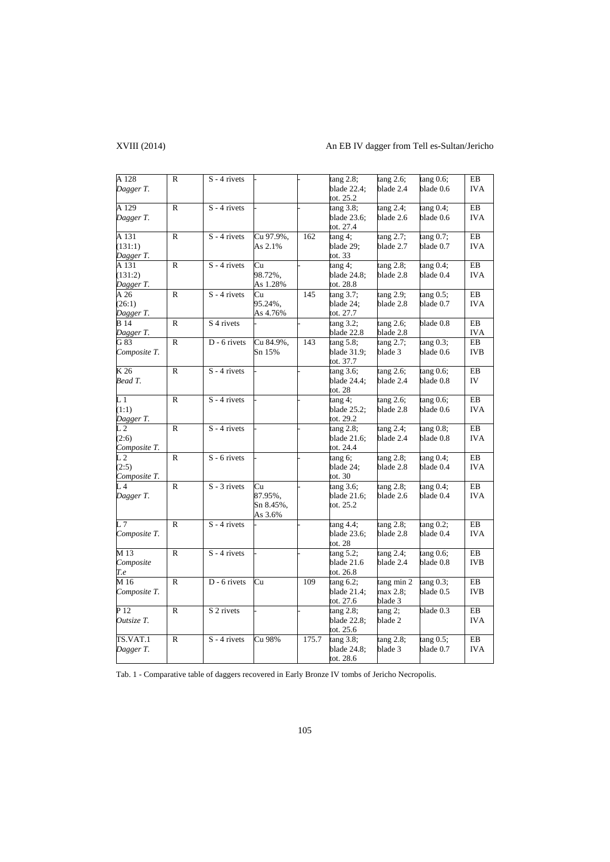# XVIII (2014) An EB IV dagger from Tell es-Sultan/Jericho

| A 128           | $\mathbb{R}$ | $S - 4$ rivets        |           |       | tang 2.8;      | tang 2.6;    | $tan g 0.6$ ;          | EB         |
|-----------------|--------------|-----------------------|-----------|-------|----------------|--------------|------------------------|------------|
| Dagger T.       |              |                       |           |       | blade 22.4;    | blade 2.4    | blade 0.6              | <b>IVA</b> |
|                 |              |                       |           |       | tot. 25.2      |              |                        |            |
| A 129           | R            | $S - 4$ rivets        |           |       | tang 3.8;      | tang 2.4;    | tang 0.4;              | EB         |
| Dagger T.       |              |                       |           |       | blade 23.6;    | blade 2.6    | blade 0.6              | <b>IVA</b> |
|                 |              |                       |           |       | tot. 27.4      |              |                        |            |
| A 131           | R            | $S - 4$ rivets        | Cu 97.9%, | 162   | tang 4;        | tang 2.7;    | tang 0.7;              | EB         |
| (131:1)         |              |                       | As 2.1%   |       | blade 29;      | blade 2.7    | blade 0.7              | <b>IVA</b> |
| Dagger T.       |              |                       |           |       | tot. 33        |              |                        |            |
| A 131           | R            | $S - 4$ rivets        | Cu        |       | tang 4;        | tang 2.8;    | tang 0.4;              | EB         |
| (131:2)         |              |                       | 98.72%,   |       | blade 24.8;    | blade 2.8    | blade 0.4              | <b>IVA</b> |
| Dagger T.       |              |                       | As 1.28%  |       | tot. 28.8      |              |                        |            |
| A26             | $\mathbb{R}$ | $S - 4$ rivets        | Cu        | 145   | $tan g$ 3.7;   | tang 2.9;    | tang 0.5;              | EB         |
| (26:1)          |              |                       | 95.24%,   |       | blade 24;      | blade 2.8    | blade 0.7              | <b>IVA</b> |
| Dagger T.       |              |                       | As 4.76%  |       | tot. 27.7      |              |                        |            |
| <b>B</b> 14     | R            | S <sub>4</sub> rivets |           |       | $tan g$ 3.2;   | tang 2.6;    | blade 0.8              | $\rm EB$   |
| Dagger T.       |              |                       |           |       | blade 22.8     | blade 2.8    |                        | <b>IVA</b> |
| G 83            | R            | D - 6 rivets          | Cu 84.9%, | 143   | tang 5.8;      | tang 2.7;    | $tang 0.\overline{3;}$ | EB         |
| Composite T.    |              |                       | Sn 15%    |       | blade 31.9;    | blade 3      | blade 0.6              | <b>IVB</b> |
|                 |              |                       |           |       | tot. 37.7      |              |                        |            |
| K 26            | $\mathbb{R}$ | $S - 4$ rivets        |           |       | tang 3.6;      | $tang 2.6$ ; | $tan g 0.6$ ;          | EB         |
| Bead T.         |              |                       |           |       | blade 24.4;    | blade 2.4    | blade 0.8              | IV         |
|                 |              |                       |           |       | tot. 28        |              |                        |            |
| $L_1$           | R            | $S - 4$ rivets        |           |       | $tan g 4$ ;    | tang 2.6;    | tang 0.6;              | EB         |
| (1:1)           |              |                       |           |       | blade 25.2;    | blade 2.8    | blade 0.6              | <b>IVA</b> |
| Dagger T.       |              |                       |           |       | tot. 29.2      |              |                        |            |
| L2              | R            | $S - 4$ rivets        |           |       | $tan g$ 2.8;   | tang 2.4;    | $tan g 0.8$ ;          | EB         |
| (2:6)           |              |                       |           |       | blade 21.6;    | blade 2.4    | blade 0.8              | <b>IVA</b> |
| Composite T.    |              |                       |           |       | tot. 24.4      |              |                        |            |
| $\overline{L}2$ | $\mathbb{R}$ | $S - 6$ rivets        |           |       | $t$ ang 6;     | tang 2.8;    | tang 0.4;              | EB         |
| (2:5)           |              |                       |           |       | blade 24;      | blade 2.8    | blade 0.4              | <b>IVA</b> |
| Composite T.    |              |                       |           |       | tot. $30$      |              |                        |            |
| $L_4$           | $\mathbb{R}$ | $S - 3$ rivets        | Cu        |       | tang 3.6;      | tang 2.8;    | tang 0.4;              | EB         |
| Dagger T.       |              |                       | 87.95%,   |       | blade 21.6;    | blade 2.6    | blade 0.4              | <b>IVA</b> |
|                 |              |                       | Sn 8.45%, |       | tot. 25.2      |              |                        |            |
|                 |              |                       | As 3.6%   |       |                |              |                        |            |
| L <sub>7</sub>  | $\mathbb{R}$ | $S - 4$ rivets        |           |       | tang 4.4;      | tang 2.8;    | tang 0.2;              | EB         |
| Composite T.    |              |                       |           |       | blade 23.6;    | blade 2.8    | blade 0.4              | <b>IVA</b> |
|                 |              |                       |           |       | tot. $28$      |              |                        |            |
| M 13            | $\mathbb{R}$ | $S - 4$ rivets        |           |       | tang 5.2;      | $tang 2.4$ ; | tang 0.6;              | EB         |
| Composite       |              |                       |           |       | blade 21.6     | blade 2.4    | blade 0.8              | <b>IVB</b> |
| T.e             |              |                       |           |       | tot. $26.8$    |              |                        |            |
| M 16            | $\mathbb{R}$ | D - 6 rivets          | Cu        | 109   | tang 6.2;      | tang min 2   | tang 0.3;              | EB         |
| Composite T.    |              |                       |           |       | blade $21.4$ ; | max 2.8;     | blade 0.5              | <b>IVB</b> |
|                 |              |                       |           |       | tot. 27.6      | blade 3      |                        |            |
| P 12            | R            | S 2 rivets            |           |       | tang 2.8;      | tang 2;      | $b$ lade 0.3           | ${\rm EB}$ |
| Outsize T.      |              |                       |           |       | blade 22.8;    | blade 2      |                        | <b>IVA</b> |
|                 |              |                       |           |       | tot. 25.6      |              |                        |            |
| TS.VAT.1        | R            | $S - 4$ rivets        | Cu 98%    | 175.7 | tang 3.8;      | tang 2.8;    | tang 0.5;              | EB         |
| Dagger T.       |              |                       |           |       | blade 24.8;    | blade 3      | blade 0.7              | <b>IVA</b> |
|                 |              |                       |           |       | tot. 28.6      |              |                        |            |

Tab. 1 - Comparative table of daggers recovered in Early Bronze IV tombs of Jericho Necropolis.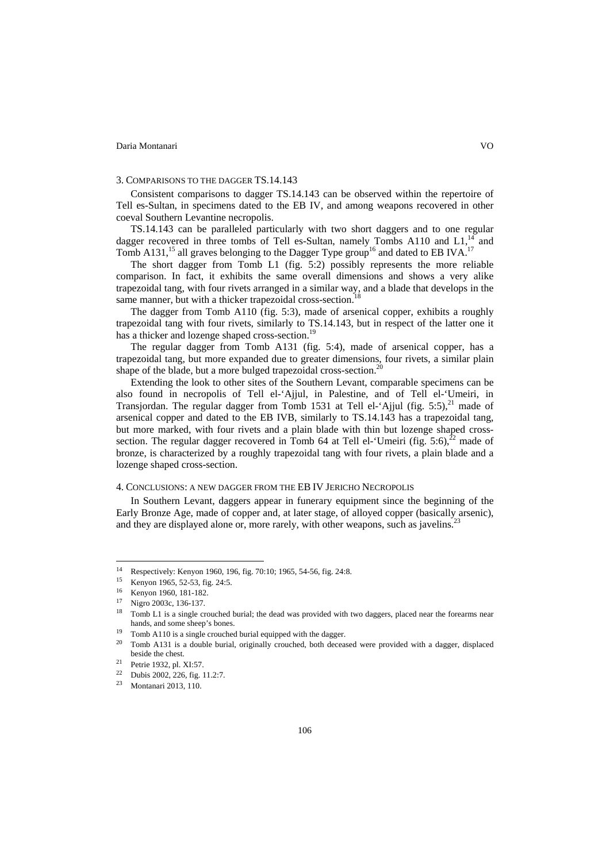## 3. COMPARISONS TO THE DAGGER TS.14.143

Consistent comparisons to dagger TS.14.143 can be observed within the repertoire of Tell es-Sultan, in specimens dated to the EB IV, and among weapons recovered in other coeval Southern Levantine necropolis.

TS.14.143 can be paralleled particularly with two short daggers and to one regular dagger recovered in three tombs of Tell es-Sultan, namely Tombs A110 and  $L1$ ,<sup>14</sup> and Tomb A131,<sup>15</sup> all graves belonging to the Dagger Type group<sup>16</sup> and dated to EB IVA.<sup>17</sup>

The short dagger from Tomb L1 (fig. 5:2) possibly represents the more reliable comparison. In fact, it exhibits the same overall dimensions and shows a very alike trapezoidal tang, with four rivets arranged in a similar way, and a blade that develops in the same manner, but with a thicker trapezoidal cross-section.

The dagger from Tomb A110 (fig. 5:3), made of arsenical copper, exhibits a roughly trapezoidal tang with four rivets, similarly to TS.14.143, but in respect of the latter one it has a thicker and lozenge shaped cross-section.<sup>19</sup>

The regular dagger from Tomb A131 (fig. 5:4), made of arsenical copper, has a trapezoidal tang, but more expanded due to greater dimensions, four rivets, a similar plain shape of the blade, but a more bulged trapezoidal cross-section.<sup>20</sup>

Extending the look to other sites of the Southern Levant, comparable specimens can be also found in necropolis of Tell el-'Ajjul, in Palestine, and of Tell el-'Umeiri, in Transjordan. The regular dagger from Tomb 1531 at Tell el-'Ajjul (fig. 5:5), $^{21}$  made of arsenical copper and dated to the EB IVB, similarly to TS.14.143 has a trapezoidal tang, but more marked, with four rivets and a plain blade with thin but lozenge shaped crosssection. The regular dagger recovered in Tomb 64 at Tell el-'Umeiri (fig.  $5:6$ ),<sup>22</sup> made of bronze, is characterized by a roughly trapezoidal tang with four rivets, a plain blade and a lozenge shaped cross-section.

# 4. CONCLUSIONS: A NEW DAGGER FROM THE EB IV JERICHO NECROPOLIS

In Southern Levant, daggers appear in funerary equipment since the beginning of the Early Bronze Age, made of copper and, at later stage, of alloyed copper (basically arsenic), and they are displayed alone or, more rarely, with other weapons, such as javelins.<sup>23</sup>

 $\overline{\phantom{a}}$ 

<sup>&</sup>lt;sup>14</sup> Respectively: Kenyon 1960, 196, fig. 70:10; 1965, 54-56, fig. 24:8.<br><sup>15</sup> Kenyon 1965, 52-53, fig. 24:5.

<sup>16</sup> Kenyon 1960, 181-182. 17 Nigro 2003c, 136-137.

<sup>&</sup>lt;sup>18</sup> Tomb L1 is a single crouched burial; the dead was provided with two daggers, placed near the forearms near hands, and some sheep's bones.<br><sup>19</sup> Tomb A110 is a single crouched burial equipped with the dagger.<br><sup>20</sup> Tomb A131 is a double burial, originally crouched, both deceased were provided with a dagger, displaced

beside the chest.<br>
<sup>21</sup> Petrie 1932, pl. XI:57.<br>
<sup>22</sup> Dubis 2002, 226, fig. 11.2:7.

<sup>23</sup> Montanari 2013, 110.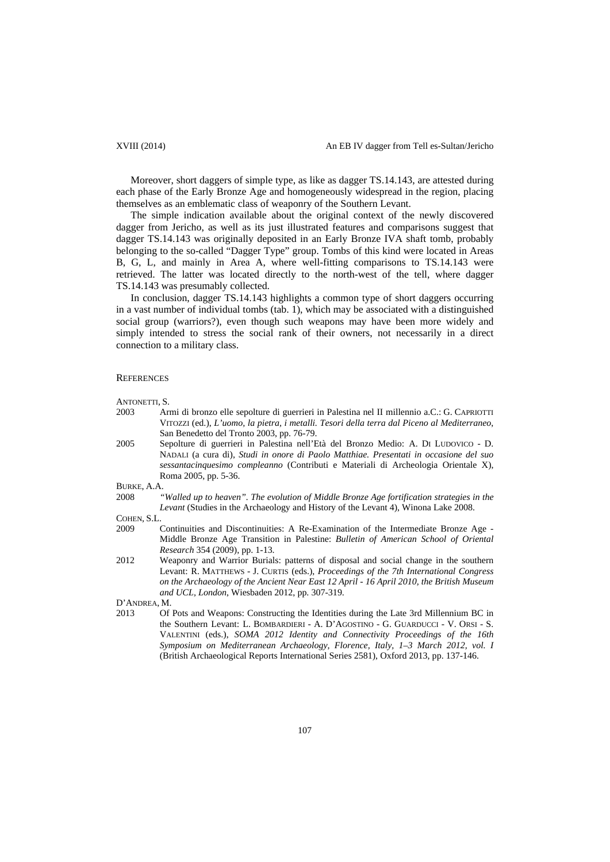Moreover, short daggers of simple type, as like as dagger TS.14.143, are attested during each phase of the Early Bronze Age and homogeneously widespread in the region, placing themselves as an emblematic class of weaponry of the Southern Levant.

The simple indication available about the original context of the newly discovered dagger from Jericho, as well as its just illustrated features and comparisons suggest that dagger TS.14.143 was originally deposited in an Early Bronze IVA shaft tomb, probably belonging to the so-called "Dagger Type" group. Tombs of this kind were located in Areas B, G, L, and mainly in Area A, where well-fitting comparisons to TS.14.143 were retrieved. The latter was located directly to the north-west of the tell, where dagger TS.14.143 was presumably collected.

In conclusion, dagger TS.14.143 highlights a common type of short daggers occurring in a vast number of individual tombs (tab. 1), which may be associated with a distinguished social group (warriors?), even though such weapons may have been more widely and simply intended to stress the social rank of their owners, not necessarily in a direct connection to a military class.

### **REFERENCES**

ANTONETTI, S.

- 2003 Armi di bronzo elle sepolture di guerrieri in Palestina nel II millennio a.C.: G. CAPRIOTTI VITOZZI (ed.), *L'uomo, la pietra, i metalli. Tesori della terra dal Piceno al Mediterraneo*, San Benedetto del Tronto 2003, pp. 76-79.
- 2005 Sepolture di guerrieri in Palestina nell'Età del Bronzo Medio: A. DI LUDOVICO D. NADALI (a cura di), *Studi in onore di Paolo Matthiae. Presentati in occasione del suo sessantacinquesimo compleanno* (Contributi e Materiali di Archeologia Orientale X), Roma 2005, pp. 5-36.

BURKE, A.A.

2008 *"Walled up to heaven". The evolution of Middle Bronze Age fortification strategies in the Levant* (Studies in the Archaeology and History of the Levant 4), Winona Lake 2008.

COHEN, S.L.

- 2009 Continuities and Discontinuities: A Re-Examination of the Intermediate Bronze Age Middle Bronze Age Transition in Palestine: *Bulletin of American School of Oriental Research* 354 (2009), pp. 1-13.
- 2012 Weaponry and Warrior Burials: patterns of disposal and social change in the southern Levant: R. MATTHEWS - J. CURTIS (eds.), *Proceedings of the 7th International Congress on the Archaeology of the Ancient Near East 12 April - 16 April 2010, the British Museum and UCL, London*, Wiesbaden 2012, pp. 307-319.

D'ANDREA, M.

2013 Of Pots and Weapons: Constructing the Identities during the Late 3rd Millennium BC in the Southern Levant: L. BOMBARDIERI - A. D'AGOSTINO - G. GUARDUCCI - V. ORSI - S. VALENTINI (eds.), *SOMA 2012 Identity and Connectivity Proceedings of the 16th Symposium on Mediterranean Archaeology, Florence, Italy, 1–3 March 2012, vol. I* (British Archaeological Reports International Series 2581), Oxford 2013, pp. 137-146.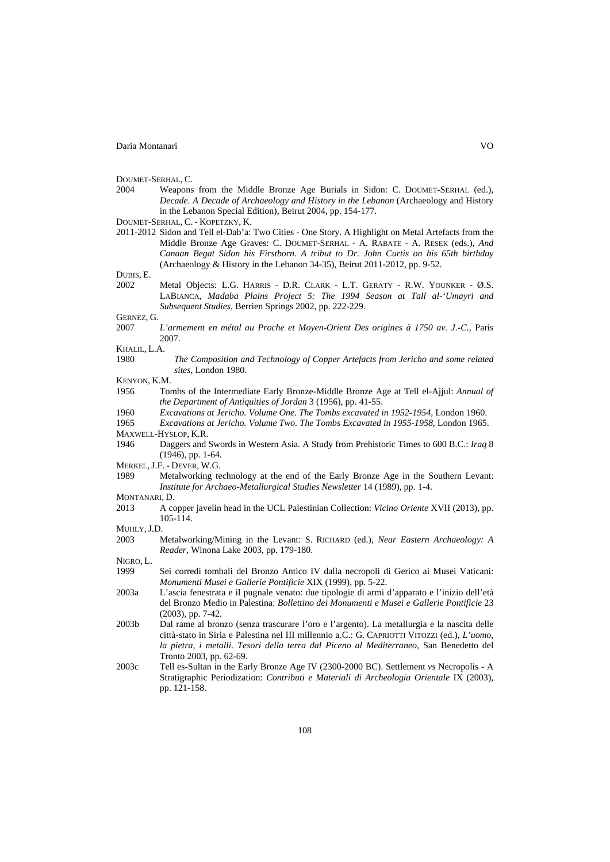DOUMET-SERHAL, C.

- 2004 Weapons from the Middle Bronze Age Burials in Sidon: C. DOUMET-SERHAL (ed.), *Decade. A Decade of Archaeology and History in the Lebanon* (Archaeology and History in the Lebanon Special Edition), Beirut 2004, pp. 154-177.
- DOUMET-SERHAL, C. KOPETZKY, K.
- 2011-2012 Sidon and Tell el-Dab'a: Two Cities One Story. A Highlight on Metal Artefacts from the Middle Bronze Age Graves: C. DOUMET-SERHAL - A. RABATE - A. RESEK (eds.), *And Canaan Begat Sidon his Firstborn. A tribut to Dr. John Curtis on his 65th birthday* (Archaeology & History in the Lebanon 34-35), Beirut 2011-2012, pp. 9-52.

DUBIS, E.

2002 Metal Objects: L.G. HARRIS - D.R. CLARK - L.T. GERATY - R.W. YOUNKER - Ø.S. LABIANCA, *Madaba Plains Project 5: The 1994 Season at Tall al-'Umayri and Subsequent Studies*, Berrien Springs 2002, pp. 222-229.

GERNEZ, G.

2007 *L'armement en métal au Proche et Moyen-Orient Des origines à 1750 av. J.-C.*, Paris 2007.

KHALIL, L.A.

- 1980 *The Composition and Technology of Copper Artefacts from Jericho and some related sites*, London 1980.
- KENYON, K.M.
- 1956 Tombs of the Intermediate Early Bronze-Middle Bronze Age at Tell el-Ajjul: *Annual of the Department of Antiquities of Jordan* 3 (1956), pp. 41-55.
- 1960 *Excavations at Jericho. Volume One. The Tombs excavated in 1952-1954*, London 1960.
- 1965 *Excavations at Jericho. Volume Two. The Tombs Excavated in 1955-1958*, London 1965. MAXWELL-HYSLOP, K.R.
- 1946 Daggers and Swords in Western Asia. A Study from Prehistoric Times to 600 B.C.: *Iraq* 8 (1946), pp. 1-64.
- MERKEL, J.F. DEVER, W.G.
- 1989 Metalworking technology at the end of the Early Bronze Age in the Southern Levant: *Institute for Archaeo-Metallurgical Studies Newsletter* 14 (1989), pp. 1-4.
- MONTANARI, D.
- 2013 A copper javelin head in the UCL Palestinian Collection: *Vicino Oriente* XVII (2013), pp. 105-114.
- MUHLY, J.D.
- 2003 Metalworking/Mining in the Levant: S. RICHARD (ed.), *Near Eastern Archaeology: A Reader*, Winona Lake 2003, pp. 179-180.

NIGRO, L.

- 1999 Sei corredi tombali del Bronzo Antico IV dalla necropoli di Gerico ai Musei Vaticani: *Monumenti Musei e Gallerie Pontificie* XIX (1999), pp. 5-22.
- 2003a L'ascia fenestrata e il pugnale venato: due tipologie di armi d'apparato e l'inizio dell'età del Bronzo Medio in Palestina: *Bollettino dei Monumenti e Musei e Gallerie Pontificie* 23 (2003), pp. 7-42.
- 2003b Dal rame al bronzo (senza trascurare l'oro e l'argento). La metallurgia e la nascita delle città-stato in Siria e Palestina nel III millennio a.C.: G. CAPRIOTTI VITOZZI (ed.), *L'uomo, la pietra, i metalli. Tesori della terra dal Piceno al Mediterraneo*, San Benedetto del Tronto 2003, pp. 62-69.
- 2003c Tell es-Sultan in the Early Bronze Age IV (2300-2000 BC). Settlement *vs* Necropolis A Stratigraphic Periodization: *Contributi e Materiali di Archeologia Orientale* IX (2003), pp. 121-158.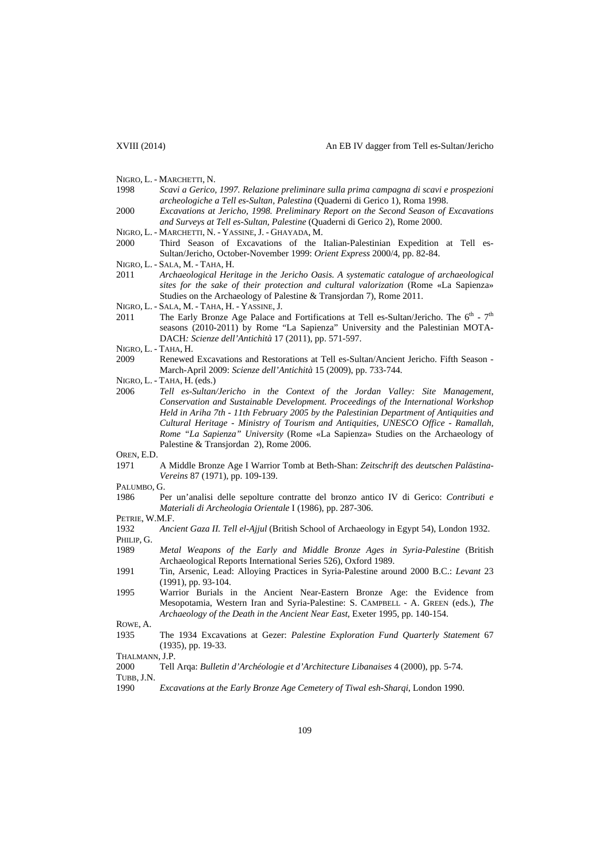- NIGRO, L. MARCHETTI, N.
- 1998 *Scavi a Gerico, 1997. Relazione preliminare sulla prima campagna di scavi e prospezioni archeologiche a Tell es-Sultan, Palestina* (Quaderni di Gerico 1), Roma 1998.
- 2000 *Excavations at Jericho, 1998. Preliminary Report on the Second Season of Excavations and Surveys at Tell es-Sultan, Palestine* (Quaderni di Gerico 2), Rome 2000.
- NIGRO, L. MARCHETTI, N. YASSINE, J. GHAYADA, M.
- 2000 Third Season of Excavations of the Italian-Palestinian Expedition at Tell es-Sultan/Jericho, October-November 1999: *Orient Express* 2000/4, pp. 82-84.
- NIGRO, L. SALA, M. TAHA, H.
- 2011 *Archaeological Heritage in the Jericho Oasis. A systematic catalogue of archaeological sites for the sake of their protection and cultural valorization* (Rome «La Sapienza» Studies on the Archaeology of Palestine & Transjordan 7), Rome 2011.
- NIGRO, L. SALA, M. TAHA, H. YASSINE, J.
- 2011 The Early Bronze Age Palace and Fortifications at Tell es-Sultan/Jericho. The  $6<sup>th</sup>$   $7<sup>th</sup>$ seasons (2010-2011) by Rome "La Sapienza" University and the Palestinian MOTA-DACH*: Scienze dell'Antichità* 17 (2011), pp. 571-597.
- NIGRO, L. TAHA, H.
- 2009 Renewed Excavations and Restorations at Tell es-Sultan/Ancient Jericho. Fifth Season March-April 2009: *Scienze dell'Antichità* 15 (2009), pp. 733-744.
- NIGRO, L. TAHA, H. (eds.)
- 2006 *Tell es-Sultan/Jericho in the Context of the Jordan Valley: Site Management, Conservation and Sustainable Development. Proceedings of the International Workshop Held in Ariha 7th - 11th February 2005 by the Palestinian Department of Antiquities and Cultural Heritage - Ministry of Tourism and Antiquities, UNESCO Office - Ramallah, Rome "La Sapienza" University* (Rome «La Sapienza» Studies on the Archaeology of Palestine & Transjordan 2), Rome 2006.
- OREN, E.D.
- 1971 A Middle Bronze Age I Warrior Tomb at Beth-Shan: *Zeitschrift des deutschen Palästina-Vereins* 87 (1971), pp. 109-139.
- PALUMBO, G.
- 1986 Per un'analisi delle sepolture contratte del bronzo antico IV di Gerico: *Contributi e Materiali di Archeologia Orientale* I (1986), pp. 287-306.

PETRIE, W.M.F.

- 1989 *Metal Weapons of the Early and Middle Bronze Ages in Syria-Palestine* (British Archaeological Reports International Series 526), Oxford 1989.
- 1991 Tin, Arsenic, Lead: Alloying Practices in Syria-Palestine around 2000 B.C.: *Levant* 23 (1991), pp. 93-104.
- 1995 Warrior Burials in the Ancient Near-Eastern Bronze Age: the Evidence from Mesopotamia, Western Iran and Syria-Palestine: S. CAMPBELL - A. GREEN (eds.), *The Archaeology of the Death in the Ancient Near East*, Exeter 1995, pp. 140-154.

ROWE, A.

1935 The 1934 Excavations at Gezer: *Palestine Exploration Fund Quarterly Statement* 67 (1935), pp. 19-33.

2000 Tell Arqa: *Bulletin d'Archéologie et d'Architecture Libanaises* 4 (2000), pp. 5-74.

TUBB, J.N.

1990 *Excavations at the Early Bronze Age Cemetery of Tiwal esh-Sharqi*, London 1990.

<sup>1932</sup> *Ancient Gaza II. Tell el-Ajjul* (British School of Archaeology in Egypt 54), London 1932. PHILIP, G.

THALMANN, J.P.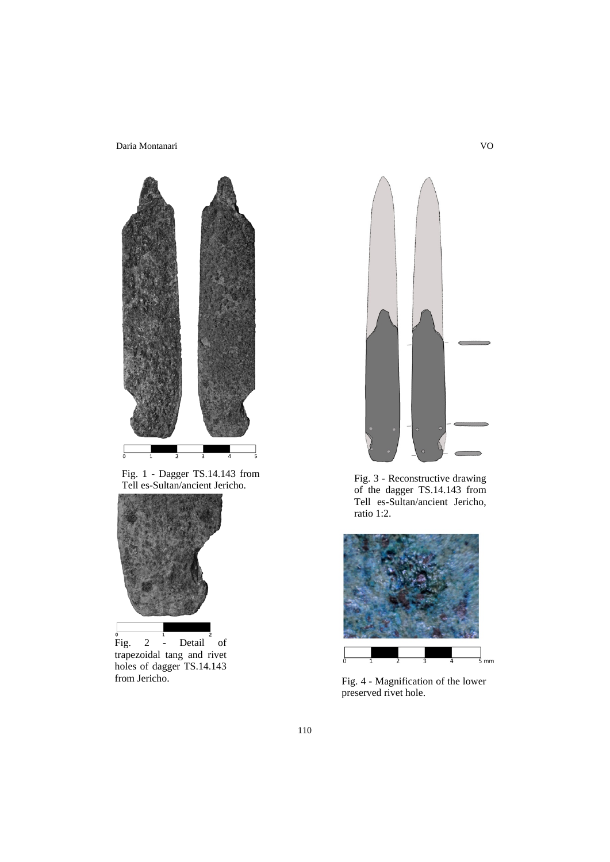

Fig. 1 - Dagger TS.14.143 from Fig. 3 - Reconstructive drawing<br>
Tell es-Sultan/ancient Jericho. 6 f the dagger TS 14.143 from



Fig. 2 - Detail of trapezoidal tang and rivet holes of dagger TS.14.143



of the dagger TS.14.143 from Tell es-Sultan/ancient Jericho, ratio 1:2.



from Jericho. Fig. 4 - Magnification of the lower preserved rivet hole.